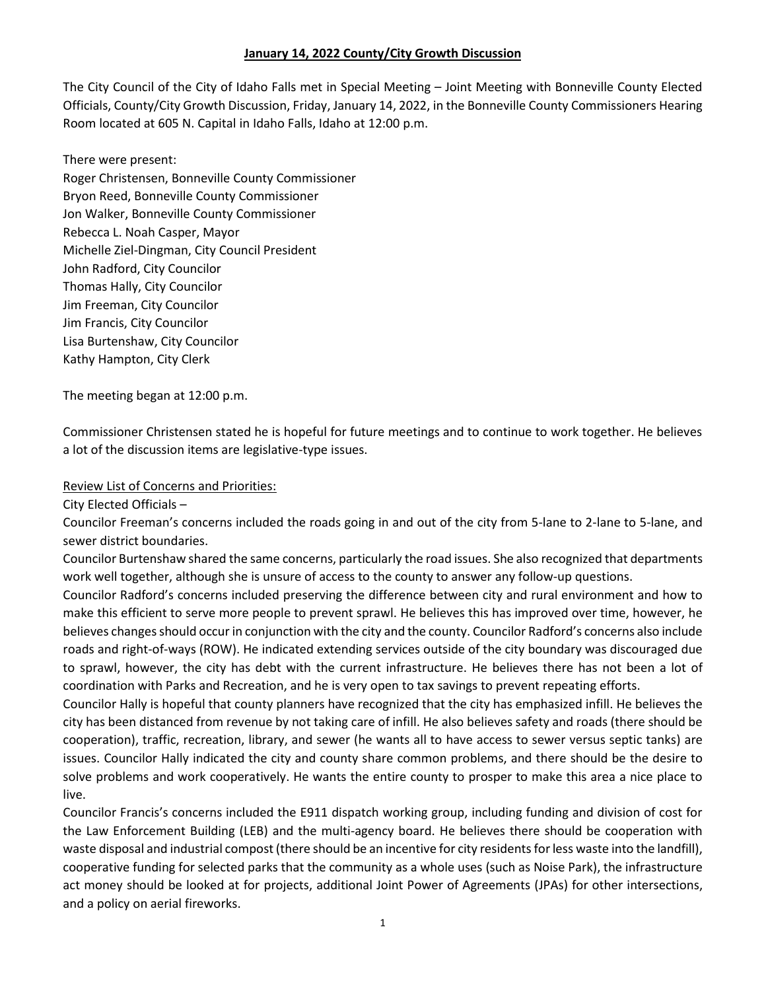### **January 14, 2022 County/City Growth Discussion**

The City Council of the City of Idaho Falls met in Special Meeting – Joint Meeting with Bonneville County Elected Officials, County/City Growth Discussion, Friday, January 14, 2022, in the Bonneville County Commissioners Hearing Room located at 605 N. Capital in Idaho Falls, Idaho at 12:00 p.m.

There were present: Roger Christensen, Bonneville County Commissioner Bryon Reed, Bonneville County Commissioner Jon Walker, Bonneville County Commissioner Rebecca L. Noah Casper, Mayor Michelle Ziel-Dingman, City Council President John Radford, City Councilor Thomas Hally, City Councilor Jim Freeman, City Councilor Jim Francis, City Councilor Lisa Burtenshaw, City Councilor Kathy Hampton, City Clerk

The meeting began at 12:00 p.m.

Commissioner Christensen stated he is hopeful for future meetings and to continue to work together. He believes a lot of the discussion items are legislative-type issues.

#### Review List of Concerns and Priorities:

City Elected Officials –

Councilor Freeman's concerns included the roads going in and out of the city from 5-lane to 2-lane to 5-lane, and sewer district boundaries.

Councilor Burtenshaw shared the same concerns, particularly the road issues. She also recognized that departments work well together, although she is unsure of access to the county to answer any follow-up questions.

Councilor Radford's concerns included preserving the difference between city and rural environment and how to make this efficient to serve more people to prevent sprawl. He believes this has improved over time, however, he believes changes should occur in conjunction with the city and the county. Councilor Radford's concerns also include roads and right-of-ways (ROW). He indicated extending services outside of the city boundary was discouraged due to sprawl, however, the city has debt with the current infrastructure. He believes there has not been a lot of coordination with Parks and Recreation, and he is very open to tax savings to prevent repeating efforts.

Councilor Hally is hopeful that county planners have recognized that the city has emphasized infill. He believes the city has been distanced from revenue by not taking care of infill. He also believes safety and roads (there should be cooperation), traffic, recreation, library, and sewer (he wants all to have access to sewer versus septic tanks) are issues. Councilor Hally indicated the city and county share common problems, and there should be the desire to solve problems and work cooperatively. He wants the entire county to prosper to make this area a nice place to live.

Councilor Francis's concerns included the E911 dispatch working group, including funding and division of cost for the Law Enforcement Building (LEB) and the multi-agency board. He believes there should be cooperation with waste disposal and industrial compost (there should be an incentive for city residents for less waste into the landfill), cooperative funding for selected parks that the community as a whole uses (such as Noise Park), the infrastructure act money should be looked at for projects, additional Joint Power of Agreements (JPAs) for other intersections, and a policy on aerial fireworks.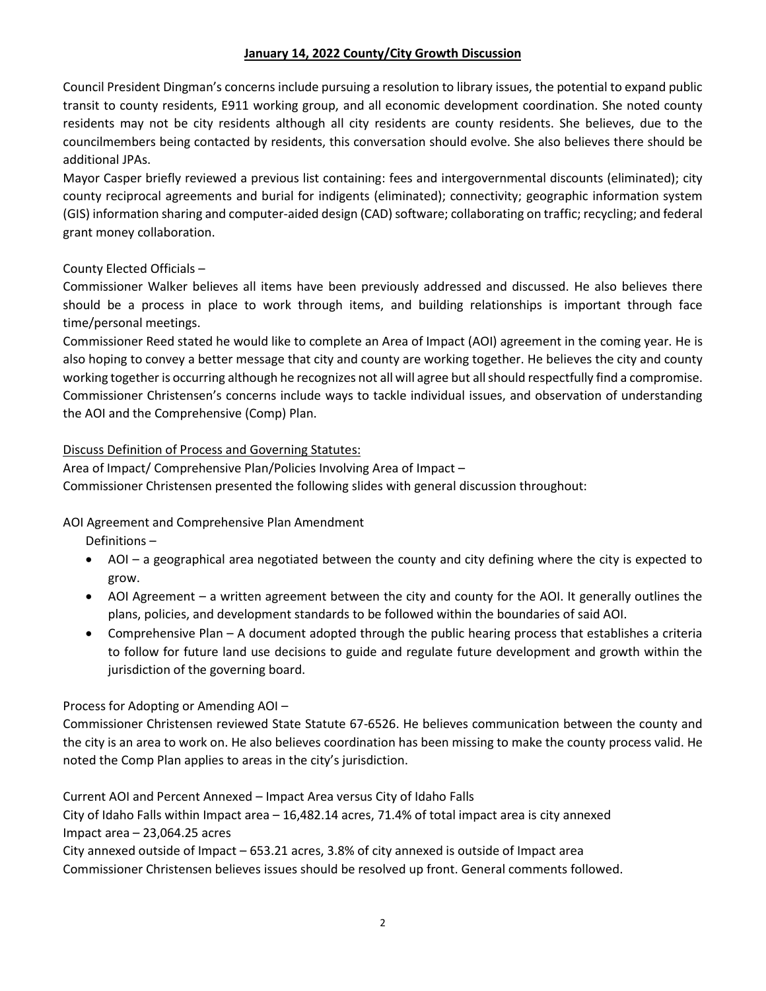### **January 14, 2022 County/City Growth Discussion**

Council President Dingman's concerns include pursuing a resolution to library issues, the potential to expand public transit to county residents, E911 working group, and all economic development coordination. She noted county residents may not be city residents although all city residents are county residents. She believes, due to the councilmembers being contacted by residents, this conversation should evolve. She also believes there should be additional JPAs.

Mayor Casper briefly reviewed a previous list containing: fees and intergovernmental discounts (eliminated); city county reciprocal agreements and burial for indigents (eliminated); connectivity; geographic information system (GIS) information sharing and computer-aided design (CAD) software; collaborating on traffic; recycling; and federal grant money collaboration.

# County Elected Officials –

Commissioner Walker believes all items have been previously addressed and discussed. He also believes there should be a process in place to work through items, and building relationships is important through face time/personal meetings.

Commissioner Reed stated he would like to complete an Area of Impact (AOI) agreement in the coming year. He is also hoping to convey a better message that city and county are working together. He believes the city and county working together is occurring although he recognizes not all will agree but all should respectfully find a compromise. Commissioner Christensen's concerns include ways to tackle individual issues, and observation of understanding the AOI and the Comprehensive (Comp) Plan.

# Discuss Definition of Process and Governing Statutes:

Area of Impact/ Comprehensive Plan/Policies Involving Area of Impact – Commissioner Christensen presented the following slides with general discussion throughout:

# AOI Agreement and Comprehensive Plan Amendment

Definitions –

- AOI a geographical area negotiated between the county and city defining where the city is expected to grow.
- AOI Agreement a written agreement between the city and county for the AOI. It generally outlines the plans, policies, and development standards to be followed within the boundaries of said AOI.
- Comprehensive Plan A document adopted through the public hearing process that establishes a criteria to follow for future land use decisions to guide and regulate future development and growth within the jurisdiction of the governing board.

# Process for Adopting or Amending AOI –

Commissioner Christensen reviewed State Statute 67-6526. He believes communication between the county and the city is an area to work on. He also believes coordination has been missing to make the county process valid. He noted the Comp Plan applies to areas in the city's jurisdiction.

Current AOI and Percent Annexed – Impact Area versus City of Idaho Falls

City of Idaho Falls within Impact area – 16,482.14 acres, 71.4% of total impact area is city annexed Impact area – 23,064.25 acres

City annexed outside of Impact – 653.21 acres, 3.8% of city annexed is outside of Impact area

Commissioner Christensen believes issues should be resolved up front. General comments followed.